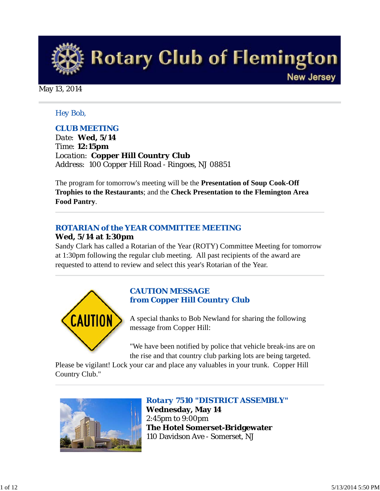

May 13, 2014

### *Hey Bob,*

## *CLUB MEETING*

*Date: Wed, 5/14 Time: 12:15pm Location: Copper Hill Country Club Address: 100 Copper Hill Road - Ringoes, NJ 08851* 

The program for tomorrow's meeting will be the **Presentation of Soup Cook-Off Trophies to the Restaurants**; and the **Check Presentation to the Flemington Area Food Pantry**.

## *ROTARIAN of the YEAR COMMITTEE MEETING*

### **Wed, 5/14 at 1:30pm**

Sandy Clark has called a Rotarian of the Year (ROTY) Committee Meeting for tomorrow at 1:30pm following the regular club meeting. All past recipients of the award are requested to attend to review and select this year's Rotarian of the Year.



## *CAUTION MESSAGE from Copper Hill Country Club*

A special thanks to Bob Newland for sharing the following message from Copper Hill:

"We have been notified by police that vehicle break-ins are on the rise and that country club parking lots are being targeted.

Please be vigilant! Lock your car and place any valuables in your trunk. Copper Hill Country Club."



*Rotary 7510 "DISTRICT ASSEMBLY"* **Wednesday, May 14** 2:45pm to 9:00pm **The Hotel Somerset-Bridgewater** 110 Davidson Ave - Somerset, NJ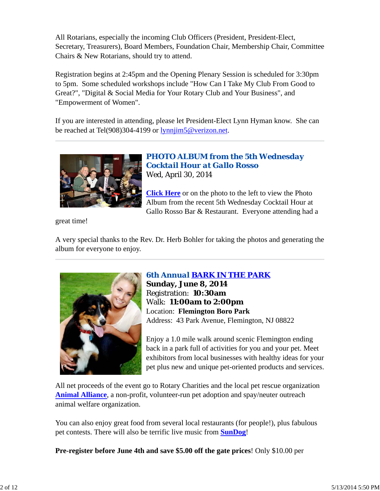All Rotarians, especially the incoming Club Officers (President, President-Elect, Secretary, Treasurers), Board Members, Foundation Chair, Membership Chair, Committee Chairs & New Rotarians, should try to attend.

Registration begins at 2:45pm and the Opening Plenary Session is scheduled for 3:30pm to 5pm. Some scheduled workshops include "How Can I Take My Club From Good to Great?", "Digital & Social Media for Your Rotary Club and Your Business", and "Empowerment of Women".

If you are interested in attending, please let President-Elect Lynn Hyman know. She can be reached at Tel(908)304-4199 or lynnjim5@verizon.net.



*PHOTO ALBUM from the 5th Wednesday Cocktail Hour at Gallo Rosso* Wed, April 30, 2014

**Click Here** or on the photo to the left to view the Photo Album from the recent 5th Wednesday Cocktail Hour at Gallo Rosso Bar & Restaurant. Everyone attending had a

great time!

A very special thanks to the Rev. Dr. Herb Bohler for taking the photos and generating the album for everyone to enjoy.



## *6th Annual BARK IN THE PARK*

**Sunday, June 8, 2014** Registration: **10:30am** Walk: **11:00am to 2:00pm** Location: **Flemington Boro Park** Address: 43 Park Avenue, Flemington, NJ 08822

Enjoy a 1.0 mile walk around scenic Flemington ending back in a park full of activities for you and your pet. Meet exhibitors from local businesses with healthy ideas for your pet plus new and unique pet-oriented products and services.

All net proceeds of the event go to Rotary Charities and the local pet rescue organization **Animal Alliance**, a non-profit, volunteer-run pet adoption and spay/neuter outreach animal welfare organization.

You can also enjoy great food from several local restaurants (for people!), plus fabulous pet contests. There will also be terrific live music from **SunDog**!

**Pre-register before June 4th and save \$5.00 off the gate prices**! Only \$10.00 per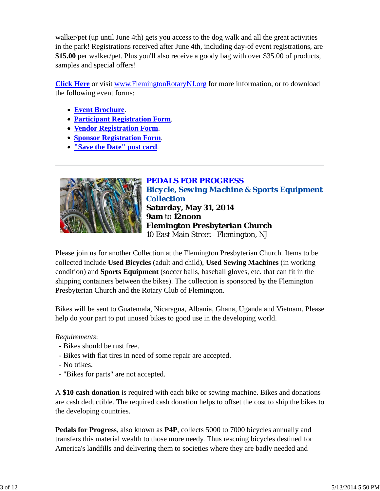walker/pet (up until June 4th) gets you access to the dog walk and all the great activities in the park! Registrations received after June 4th, including day-of event registrations, are **\$15.00** per walker/pet. Plus you'll also receive a goody bag with over \$35.00 of products, samples and special offers!

**Click Here** or visit www.FlemingtonRotaryNJ.org for more information, or to download the following event forms:

- **Event Brochure**.
- **Participant Registration Form**.
- **Vendor Registration Form**.
- **Sponsor Registration Form**.
- **"Save the Date" post card**.



*PEDALS FOR PROGRESS Bicycle, Sewing Machine & Sports Equipment Collection* **Saturday, May 31, 2014 9am** to **12noon Flemington Presbyterian Church** 10 East Main Street - Flemington, NJ

Please join us for another Collection at the Flemington Presbyterian Church. Items to be collected include **Used Bicycles** (adult and child), **Used Sewing Machines** (in working condition) and **Sports Equipment** (soccer balls, baseball gloves, etc. that can fit in the shipping containers between the bikes). The collection is sponsored by the Flemington Presbyterian Church and the Rotary Club of Flemington.

Bikes will be sent to Guatemala, Nicaragua, Albania, Ghana, Uganda and Vietnam. Please help do your part to put unused bikes to good use in the developing world.

### *Requirements*:

- Bikes should be rust free.
- Bikes with flat tires in need of some repair are accepted.
- No trikes.
- "Bikes for parts" are not accepted.

A **\$10 cash donation** is required with each bike or sewing machine. Bikes and donations are cash deductible. The required cash donation helps to offset the cost to ship the bikes to the developing countries.

**Pedals for Progress**, also known as **P4P**, collects 5000 to 7000 bicycles annually and transfers this material wealth to those more needy. Thus rescuing bicycles destined for America's landfills and delivering them to societies where they are badly needed and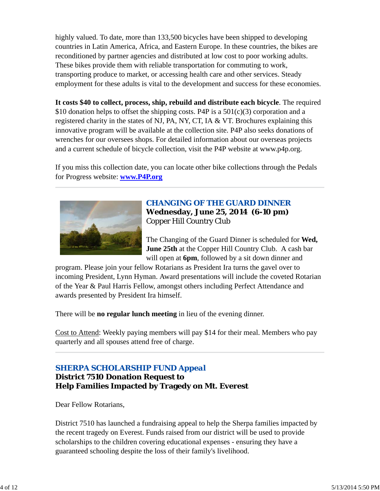highly valued. To date, more than 133,500 bicycles have been shipped to developing countries in Latin America, Africa, and Eastern Europe. In these countries, the bikes are reconditioned by partner agencies and distributed at low cost to poor working adults. These bikes provide them with reliable transportation for commuting to work, transporting produce to market, or accessing health care and other services. Steady employment for these adults is vital to the development and success for these economies.

**It costs \$40 to collect, process, ship, rebuild and distribute each bicycle**. The required \$10 donation helps to offset the shipping costs. P4P is a  $501(c)(3)$  corporation and a registered charity in the states of NJ, PA, NY, CT, IA & VT. Brochures explaining this innovative program will be available at the collection site. P4P also seeks donations of wrenches for our oversees shops. For detailed information about our overseas projects and a current schedule of bicycle collection, visit the P4P website at www.p4p.org.

If you miss this collection date, you can locate other bike collections through the Pedals for Progress website: **www.P4P.org**



## *CHANGING OF THE GUARD DINNER* **Wednesday, June 25, 2014 (6-10 pm)** Copper Hill Country Club

The Changing of the Guard Dinner is scheduled for **Wed, June 25th** at the Copper Hill Country Club. A cash bar will open at **6pm**, followed by a sit down dinner and

program. Please join your fellow Rotarians as President Ira turns the gavel over to incoming President, Lynn Hyman. Award presentations will include the coveted Rotarian of the Year & Paul Harris Fellow, amongst others including Perfect Attendance and awards presented by President Ira himself.

There will be **no regular lunch meeting** in lieu of the evening dinner.

Cost to Attend: Weekly paying members will pay \$14 for their meal. Members who pay quarterly and all spouses attend free of charge.

## *SHERPA SCHOLARSHIP FUND Appeal*

**District 7510 Donation Request to Help Families Impacted by Tragedy on Mt. Everest**

Dear Fellow Rotarians,

District 7510 has launched a fundraising appeal to help the Sherpa families impacted by the recent tragedy on Everest. Funds raised from our district will be used to provide scholarships to the children covering educational expenses - ensuring they have a guaranteed schooling despite the loss of their family's livelihood.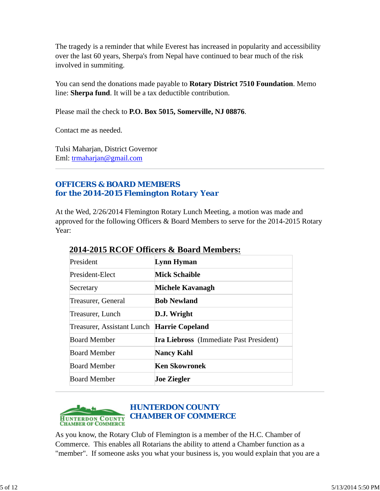The tragedy is a reminder that while Everest has increased in popularity and accessibility over the last 60 years, Sherpa's from Nepal have continued to bear much of the risk involved in summiting.

You can send the donations made payable to **Rotary District 7510 Foundation**. Memo line: **Sherpa fund**. It will be a tax deductible contribution.

Please mail the check to **P.O. Box 5015, Somerville, NJ 08876**.

Contact me as needed.

Tulsi Maharjan, District Governor Eml: trmaharjan@gmail.com

## *OFFICERS & BOARD MEMBERS for the 2014-2015 Flemington Rotary Year*

At the Wed, 2/26/2014 Flemington Rotary Lunch Meeting, a motion was made and approved for the following Officers & Board Members to serve for the 2014-2015 Rotary Year:

| President                                  | Lynn Hyman                                     |
|--------------------------------------------|------------------------------------------------|
| President-Elect                            | <b>Mick Schaible</b>                           |
| Secretary                                  | Michele Kavanagh                               |
| <b>Treasurer, General</b>                  | <b>Bob Newland</b>                             |
| Treasurer, Lunch                           | D.J. Wright                                    |
| Treasurer, Assistant Lunch Harrie Copeland |                                                |
| <b>Board Member</b>                        | <b>Ira Liebross</b> (Immediate Past President) |
| <b>Board Member</b>                        | <b>Nancy Kahl</b>                              |
| <b>Board Member</b>                        | <b>Ken Skowronek</b>                           |
| <b>Board Member</b>                        | <b>Joe Ziegler</b>                             |

## **2014-2015 RCOF Officers & Board Members:**



As you know, the Rotary Club of Flemington is a member of the H.C. Chamber of Commerce. This enables all Rotarians the ability to attend a Chamber function as a "member". If someone asks you what your business is, you would explain that you are a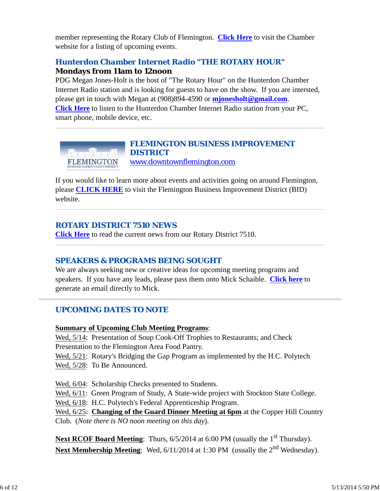member representing the Rotary Club of Flemington. **Click Here** to visit the Chamber website for a listing of upcoming events.

# *Hunterdon Chamber Internet Radio "THE ROTARY HOUR"*

## **Mondays from 11am to 12noon**

PDG Megan Jones-Holt is the host of "The Rotary Hour" on the Hunterdon Chamber Internet Radio station and is looking for guests to have on the show. If you are intersted, please get in touch with Megan at (908)894-4590 or **mjonesholt@gmail.com**. **Click Here** to listen to the Hunterdon Chamber Internet Radio station from your PC, smart phone, mobile device, etc.



If you would like to learn more about events and activities going on around Flemington, please **CLICK HERE** to visit the Flemington Business Improvement District (BID) website.

## *ROTARY DISTRICT 7510 NEWS*

**Click Here** to read the current news from our Rotary District 7510.

# *SPEAKERS & PROGRAMS BEING SOUGHT*

We are always seeking new or creative ideas for upcoming meeting programs and speakers. If you have any leads, please pass them onto Mick Schaible. **Click here** to generate an email directly to Mick.

# *UPCOMING DATES TO NOTE*

## **Summary of Upcoming Club Meeting Programs**:

Wed, 5/14: Presentation of Soup Cook-Off Trophies to Restaurants; and Check Presentation to the Flemington Area Food Pantry.

Wed, 5/21: Rotary's Bridging the Gap Program as implemented by the H.C. Polytech Wed, 5/28: To Be Announced.

Wed, 6/04: Scholarship Checks presented to Students.

Wed,  $6/11$ : Green Program of Study, A State-wide project with Stockton State College.

Wed, 6/18: H.C. Polytech's Federal Apprenticeship Program.

Wed, 6/25: **Changing of the Guard Dinner Meeting at 6pm** at the Copper Hill Country Club. (*Note there is NO noon meeting on this day*).

**Next RCOF Board Meeting:** Thurs, 6/5/2014 at 6:00 PM (usually the 1<sup>st</sup> Thursday). **Next Membership Meeting**: Wed, 6/11/2014 at 1:30 PM (usually the 2<sup>nd</sup> Wednesday).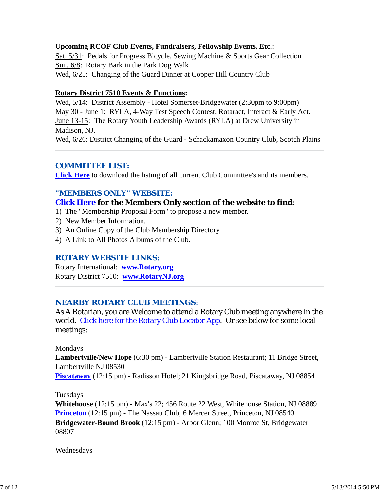### **Upcoming RCOF Club Events, Fundraisers, Fellowship Events, Etc**.:

Sat, 5/31: Pedals for Progress Bicycle, Sewing Machine & Sports Gear Collection Sun, 6/8: Rotary Bark in the Park Dog Walk Wed, 6/25: Changing of the Guard Dinner at Copper Hill Country Club

#### **Rotary District 7510 Events & Functions:**

Wed, 5/14: District Assembly - Hotel Somerset-Bridgewater (2:30pm to 9:00pm) May 30 - June 1: RYLA, 4-Way Test Speech Contest, Rotaract, Interact & Early Act. June 13-15: The Rotary Youth Leadership Awards (RYLA) at Drew University in Madison, NJ. Wed, 6/26: District Changing of the Guard - Schackamaxon Country Club, Scotch Plains

## *COMMITTEE LIST:*

**Click Here** to download the listing of all current Club Committee's and its members.

## *"MEMBERS ONLY" WEBSITE:*

## **Click Here for the Members Only section of the website to find:**

- 1) The "Membership Proposal Form" to propose a new member.
- 2) New Member Information.
- 3) An Online Copy of the Club Membership Directory.
- 4) A Link to All Photos Albums of the Club.

### *ROTARY WEBSITE LINKS:*

Rotary International: **www.Rotary.org** Rotary District 7510: **www.RotaryNJ.org**

### *NEARBY ROTARY CLUB MEETINGS:*

As A Rotarian, you are Welcome to attend a Rotary Club meeting anywhere in the world. Click here for the Rotary Club Locator App. Or see below for some local meetings:

#### Mondays

**Lambertville/New Hope** (6:30 pm) - Lambertville Station Restaurant; 11 Bridge Street, Lambertville NJ 08530

**Piscataway** (12:15 pm) - Radisson Hotel; 21 Kingsbridge Road, Piscataway, NJ 08854

#### Tuesdays

**Whitehouse** (12:15 pm) - Max's 22; 456 Route 22 West, Whitehouse Station, NJ 08889 **Princeton** (12:15 pm) - The Nassau Club; 6 Mercer Street, Princeton, NJ 08540 **Bridgewater-Bound Brook** (12:15 pm) - Arbor Glenn; 100 Monroe St, Bridgewater 08807

#### Wednesdays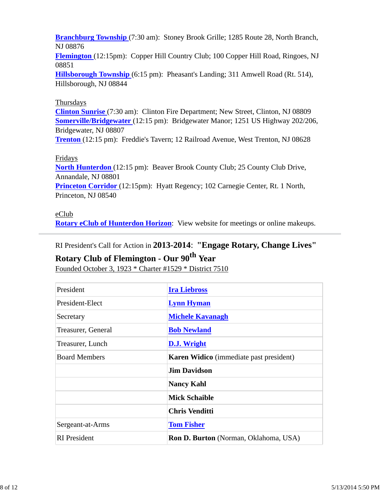**Branchburg Township** (7:30 am): Stoney Brook Grille; 1285 Route 28, North Branch, NJ 08876

**Flemington** (12:15pm): Copper Hill Country Club; 100 Copper Hill Road, Ringoes, NJ 08851

**Hillsborough Township** (6:15 pm): Pheasant's Landing; 311 Amwell Road (Rt. 514), Hillsborough, NJ 08844

### Thursdays

**Clinton Sunrise** (7:30 am): Clinton Fire Department; New Street, Clinton, NJ 08809 **Somerville/Bridgewater** (12:15 pm): Bridgewater Manor; 1251 US Highway 202/206, Bridgewater, NJ 08807

**Trenton** (12:15 pm): Freddie's Tavern; 12 Railroad Avenue, West Trenton, NJ 08628

#### Fridays

**North Hunterdon** (12:15 pm): Beaver Brook County Club; 25 County Club Drive, Annandale, NJ 08801 **Princeton Corridor** (12:15pm): Hyatt Regency; 102 Carnegie Center, Rt. 1 North, Princeton, NJ 08540

### eClub

**Rotary eClub of Hunterdon Horizon**: View website for meetings or online makeups.

RI President's Call for Action in **2013-2014**: **"Engage Rotary, Change Lives"**

# **Rotary Club of Flemington - Our 90th Year**

Founded October 3, 1923 \* Charter #1529 \* District 7510

| President            | <b>Ira Liebross</b>                            |  |  |
|----------------------|------------------------------------------------|--|--|
| President-Elect      | <b>Lynn Hyman</b>                              |  |  |
| Secretary            | <b>Michele Kavanagh</b>                        |  |  |
| Treasurer, General   | <b>Bob Newland</b>                             |  |  |
| Treasurer, Lunch     | D.J. Wright                                    |  |  |
| <b>Board Members</b> | <b>Karen Widico</b> (immediate past president) |  |  |
|                      | <b>Jim Davidson</b>                            |  |  |
|                      | <b>Nancy Kahl</b>                              |  |  |
|                      | <b>Mick Schaible</b>                           |  |  |
|                      | <b>Chris Venditti</b>                          |  |  |
| Sergeant-at-Arms     | <b>Tom Fisher</b>                              |  |  |
| <b>RI</b> President  | <b>Ron D. Burton</b> (Norman, Oklahoma, USA)   |  |  |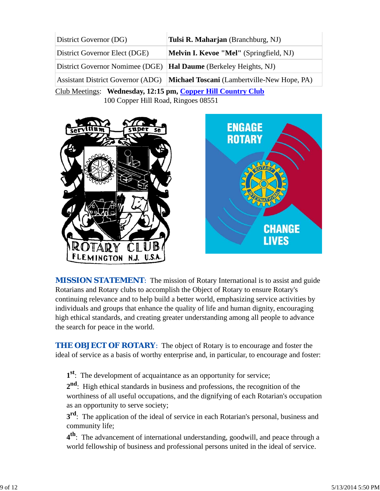| District Governor (DG)                                       | Tulsi R. Maharjan (Branchburg, NJ)                                                   |  |  |  |  |
|--------------------------------------------------------------|--------------------------------------------------------------------------------------|--|--|--|--|
| District Governor Elect (DGE)                                | <b>Melvin I. Kevoe "Mel"</b> (Springfield, NJ)                                       |  |  |  |  |
| District Governor Nomimee (DGE)                              | <b>Hal Daume</b> (Berkeley Heights, NJ)                                              |  |  |  |  |
|                                                              | Assistant District Governor (ADG) <b>Michael Toscani</b> (Lambertville-New Hope, PA) |  |  |  |  |
| Club Meetings: Wednesday, 12:15 pm, Copper Hill Country Club |                                                                                      |  |  |  |  |
| 100 Copper Hill Road, Ringoes 08551                          |                                                                                      |  |  |  |  |



**MISSION STATEMENT:** The mission of Rotary International is to assist and guide Rotarians and Rotary clubs to accomplish the Object of Rotary to ensure Rotary's continuing relevance and to help build a better world, emphasizing service activities by individuals and groups that enhance the quality of life and human dignity, encouraging high ethical standards, and creating greater understanding among all people to advance the search for peace in the world.

**CHANGE** 

**LIVES** 

**THE OBJECT OF ROTARY:** The object of Rotary is to encourage and foster the ideal of service as a basis of worthy enterprise and, in particular, to encourage and foster:

**1st**: The development of acquaintance as an opportunity for service;

**2nd**: High ethical standards in business and professions, the recognition of the worthiness of all useful occupations, and the dignifying of each Rotarian's occupation as an opportunity to serve society;

**3<sup>rd</sup>**: The application of the ideal of service in each Rotarian's personal, business and community life;

**4th**: The advancement of international understanding, goodwill, and peace through a world fellowship of business and professional persons united in the ideal of service.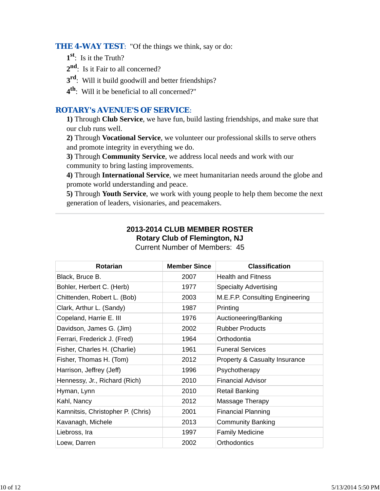**THE 4-WAY TEST:** "Of the things we think, say or do:

- **1st**: Is it the Truth?
- 2<sup>nd</sup>: Is it Fair to all concerned?
- **3rd**: Will it build goodwill and better friendships?
- **4th**: Will it be beneficial to all concerned?"

## *ROTARY's AVENUE'S OF SERVICE*:

**1)** Through **Club Service**, we have fun, build lasting friendships, and make sure that our club runs well.

**2)** Through **Vocational Service**, we volunteer our professional skills to serve others and promote integrity in everything we do.

**3)** Through **Community Service**, we address local needs and work with our community to bring lasting improvements.

**4)** Through **International Service**, we meet humanitarian needs around the globe and promote world understanding and peace.

**5)** Through **Youth Service**, we work with young people to help them become the next generation of leaders, visionaries, and peacemakers.

# **2013-2014 CLUB MEMBER ROSTER Rotary Club of Flemington, NJ**

| <b>Rotarian</b>                   | <b>Member Since</b> | <b>Classification</b>           |
|-----------------------------------|---------------------|---------------------------------|
| Black, Bruce B.                   | 2007                | <b>Health and Fitness</b>       |
| Bohler, Herbert C. (Herb)         | 1977                | <b>Specialty Advertising</b>    |
| Chittenden, Robert L. (Bob)       | 2003                | M.E.F.P. Consulting Engineering |
| Clark, Arthur L. (Sandy)          | 1987                | Printing                        |
| Copeland, Harrie E. III           | 1976                | Auctioneering/Banking           |
| Davidson, James G. (Jim)          | 2002                | <b>Rubber Products</b>          |
| Ferrari, Frederick J. (Fred)      | 1964                | Orthodontia                     |
| Fisher, Charles H. (Charlie)      | 1961                | <b>Funeral Services</b>         |
| Fisher, Thomas H. (Tom)           | 2012                | Property & Casualty Insurance   |
| Harrison, Jeffrey (Jeff)          | 1996                | Psychotherapy                   |
| Hennessy, Jr., Richard (Rich)     | 2010                | <b>Financial Advisor</b>        |
| Hyman, Lynn                       | 2010                | <b>Retail Banking</b>           |
| Kahl, Nancy                       | 2012                | Massage Therapy                 |
| Kamnitsis, Christopher P. (Chris) | 2001                | <b>Financial Planning</b>       |
| Kavanagh, Michele                 | 2013                | <b>Community Banking</b>        |
| Liebross, Ira                     | 1997                | <b>Family Medicine</b>          |
| Loew, Darren                      | 2002                | Orthodontics                    |

Current Number of Members: 45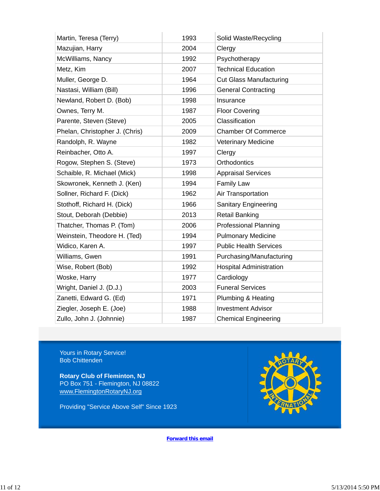| Martin, Teresa (Terry)         | 1993 | Solid Waste/Recycling          |
|--------------------------------|------|--------------------------------|
| Mazujian, Harry                | 2004 | Clergy                         |
| McWilliams, Nancy              | 1992 | Psychotherapy                  |
| Metz, Kim                      | 2007 | <b>Technical Education</b>     |
| Muller, George D.              | 1964 | <b>Cut Glass Manufacturing</b> |
| Nastasi, William (Bill)        | 1996 | <b>General Contracting</b>     |
| Newland, Robert D. (Bob)       | 1998 | Insurance                      |
| Ownes, Terry M.                | 1987 | <b>Floor Covering</b>          |
| Parente, Steven (Steve)        | 2005 | Classification                 |
| Phelan, Christopher J. (Chris) | 2009 | <b>Chamber Of Commerce</b>     |
| Randolph, R. Wayne             | 1982 | Veterinary Medicine            |
| Reinbacher, Otto A.            | 1997 | Clergy                         |
| Rogow, Stephen S. (Steve)      | 1973 | Orthodontics                   |
| Schaible, R. Michael (Mick)    | 1998 | <b>Appraisal Services</b>      |
| Skowronek, Kenneth J. (Ken)    | 1994 | Family Law                     |
| Sollner, Richard F. (Dick)     | 1962 | Air Transportation             |
| Stothoff, Richard H. (Dick)    | 1966 | Sanitary Engineering           |
| Stout, Deborah (Debbie)        | 2013 | <b>Retail Banking</b>          |
| Thatcher, Thomas P. (Tom)      | 2006 | <b>Professional Planning</b>   |
| Weinstein, Theodore H. (Ted)   | 1994 | <b>Pulmonary Medicine</b>      |
| Widico, Karen A.               | 1997 | <b>Public Health Services</b>  |
| Williams, Gwen                 | 1991 | Purchasing/Manufacturing       |
| Wise, Robert (Bob)             | 1992 | <b>Hospital Administration</b> |
| Woske, Harry                   | 1977 | Cardiology                     |
| Wright, Daniel J. (D.J.)       | 2003 | <b>Funeral Services</b>        |
| Zanetti, Edward G. (Ed)        | 1971 | Plumbing & Heating             |
| Ziegler, Joseph E. (Joe)       | 1988 | <b>Investment Advisor</b>      |
| Zullo, John J. (Johnnie)       | 1987 | <b>Chemical Engineering</b>    |

Yours in Rotary Service! Bob Chittenden

**Rotary Club of Fleminton, NJ** PO Box 751 - Flemington, NJ 08822 www.FlemingtonRotaryNJ.org

Providing "Service Above Self" Since 1923



**Forward this email**